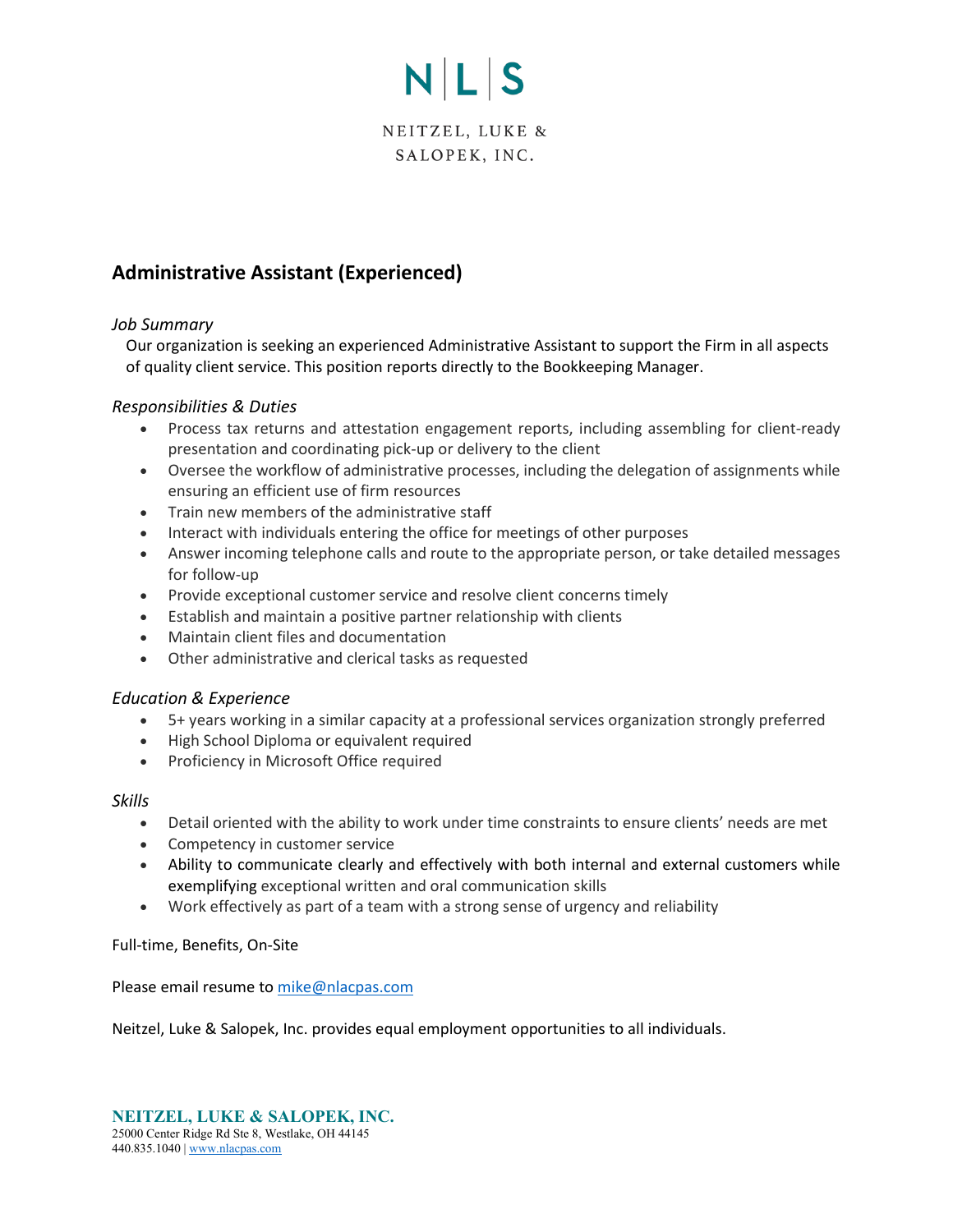# NLS

NEITZEL, LUKE & SALOPEK, INC.

# **Administrative Assistant (Experienced)**

# *Job Summary*

Our organization is seeking an experienced Administrative Assistant to support the Firm in all aspects of quality client service. This position reports directly to the Bookkeeping Manager.

## *Responsibilities & Duties*

- Process tax returns and attestation engagement reports, including assembling for client-ready presentation and coordinating pick-up or delivery to the client
- Oversee the workflow of administrative processes, including the delegation of assignments while ensuring an efficient use of firm resources
- Train new members of the administrative staff
- Interact with individuals entering the office for meetings of other purposes
- Answer incoming telephone calls and route to the appropriate person, or take detailed messages for follow-up
- Provide exceptional customer service and resolve client concerns timely
- Establish and maintain a positive partner relationship with clients
- Maintain client files and documentation
- Other administrative and clerical tasks as requested

### *Education & Experience*

- 5+ years working in a similar capacity at a professional services organization strongly preferred
- High School Diploma or equivalent required
- Proficiency in Microsoft Office required

### *Skills*

- Detail oriented with the ability to work under time constraints to ensure clients' needs are met
- Competency in customer service
- Ability to communicate clearly and effectively with both internal and external customers while exemplifying exceptional written and oral communication skills
- Work effectively as part of a team with a strong sense of urgency and reliability

### Full-time, Benefits, On-Site

Please email resume to [mike@nlacpas.com](mailto:mike@nlacpas.com)

Neitzel, Luke & Salopek, Inc. provides equal employment opportunities to all individuals.